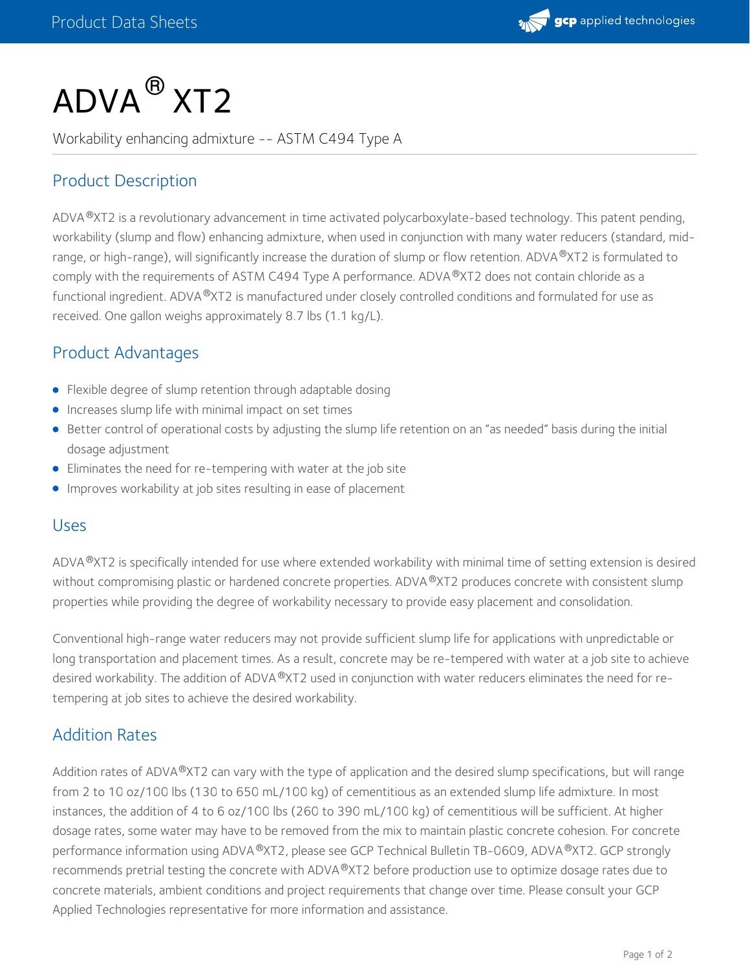

# $\mathsf{ADVA}^{\, \mathsf{\scriptsize{\text{B}}}}$  XT2

Workability enhancing admixture -- ASTM C494 Type A

# Product Description

ADVA®XT2 is a revolutionary advancement in time activated polycarboxylate-based technology. This patent pending, workability (slump and flow) enhancing admixture, when used in conjunction with many water reducers (standard, midrange, or high-range), will significantly increase the duration of slump or flow retention. ADVA®XT2 is formulated to comply with the requirements of ASTM C494 Type A performance. ADVA®XT2 does not contain chloride as a functional ingredient. ADVA®XT2 is manufactured under closely controlled conditions and formulated for use as received. One gallon weighs approximately 8.7 lbs (1.1 kg/L).

# Product Advantages

- Flexible degree of slump retention through adaptable dosing
- **•** Increases slump life with minimal impact on set times
- Better control of operational costs by adjusting the slump life retention on an "as needed" basis during the initial dosage adjustment
- Eliminates the need for re-tempering with water at the job site
- Improves workability at job sites resulting in ease of placement

#### Uses

ADVA®XT2 is specifically intended for use where extended workability with minimal time of setting extension is desired without compromising plastic or hardened concrete properties. ADVA®XT2 produces concrete with consistent slump properties while providing the degree of workability necessary to provide easy placement and consolidation.

Conventional high-range water reducers may not provide sufficient slump life for applications with unpredictable or long transportation and placement times. As a result, concrete may be re-tempered with water at a job site to achieve desired workability. The addition of ADVA®XT2 used in conjunction with water reducers eliminates the need for retempering at job sites to achieve the desired workability.

## Addition Rates

Addition rates of ADVA®XT2 can vary with the type of application and the desired slump specifications, but will range from 2 to 10 oz/100 lbs (130 to 650 mL/100 kg) of cementitious as an extended slump life admixture. In most instances, the addition of 4 to 6 oz/100 lbs (260 to 390 mL/100 kg) of cementitious will be sufficient. At higher dosage rates, some water may have to be removed from the mix to maintain plastic concrete cohesion. For concrete performance information using ADVA®XT2, please see GCP Technical Bulletin TB-0609, ADVA®XT2. GCP strongly recommends pretrial testing the concrete with ADVA®XT2 before production use to optimize dosage rates due to concrete materials, ambient conditions and project requirements that change over time. Please consult your GCP Applied Technologies representative for more information and assistance.